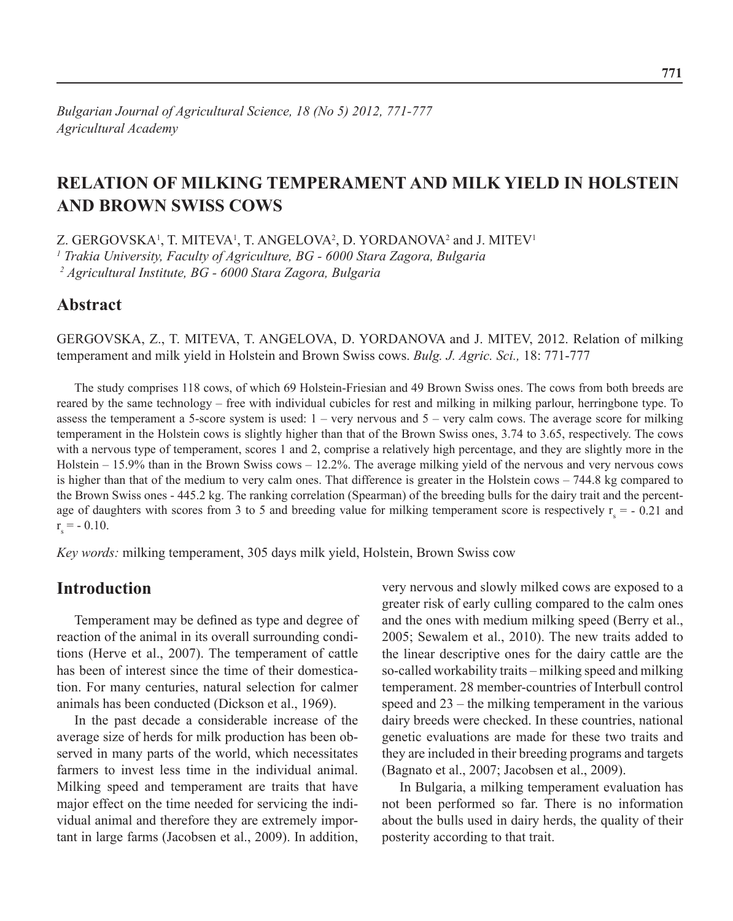# **Relation of milking temperament and milk yield in Holstein and Brown Swiss cows**

Z. GERGOVSKA<sup>1</sup>, T. MITEVA<sup>1</sup>, T. ANGELOVA<sup>2</sup>, D. YORDANOVA<sup>2</sup> and J. MITEV<sup>1</sup>

*1 Trakia University, Faculty of Agriculture, BG - 6000 Stara Zagora, Bulgaria*

*2 Agricultural Institute, BG - 6000 Stara Zagora, Bulgaria*

## **Abstract**

Gergovska, Z., T. Miteva, T. Angelova, D. Yordanova and J. Mitev, 2012. Relation of milking temperament and milk yield in Holstein and Brown Swiss cows. *Bulg. J. Agric. Sci.,* 18: 771-777

The study comprises 118 cows, of which 69 Holstein-Friesian and 49 Brown Swiss ones. The cows from both breeds are reared by the same technology – free with individual cubicles for rest and milking in milking parlour, herringbone type. To assess the temperament a 5-score system is used: 1 – very nervous and 5 – very calm cows. The average score for milking temperament in the Holstein cows is slightly higher than that of the Brown Swiss ones, 3.74 to 3.65, respectively. The cows with a nervous type of temperament, scores 1 and 2, comprise a relatively high percentage, and they are slightly more in the Holstein – 15.9% than in the Brown Swiss cows – 12.2%. The average milking yield of the nervous and very nervous cows is higher than that of the medium to very calm ones. That difference is greater in the Holstein cows – 744.8 kg compared to the Brown Swiss ones - 445.2 kg. The ranking correlation (Spearman) of the breeding bulls for the dairy trait and the percentage of daughters with scores from 3 to 5 and breeding value for milking temperament score is respectively  $r_s = -0.21$  and  $r_s = -0.10$ .

*Key words:* milking temperament, 305 days milk yield, Holstein, Brown Swiss cow

## **Introduction**

Temperament may be defined as type and degree of reaction of the animal in its overall surrounding conditions (Herve et al., 2007). The temperament of cattle has been of interest since the time of their domestication. For many centuries, natural selection for calmer animals has been conducted (Dickson et al., 1969).

In the past decade a considerable increase of the average size of herds for milk production has been observed in many parts оf the world, which necessitates farmers to invest less time in the individual animal. Milking speed and temperament are traits that have major effect on the time needed for servicing the individual animal and therefore they are extremely important in large farms (Jacobsen et al., 2009). In addition,

very nervous and slowly milked cows are exposed to a greater risk of early culling compared to the calm ones and the ones with medium milking speed (Berry et al., 2005; Sewalem et al., 2010). The new traits added to the linear descriptive ones for the dairy cattle are the so-called workability traits – milking speed and milking temperament. 28 member-countries of Interbull control speed and 23 – the milking temperament in the various dairy breeds were checked. In these countries, national genetic evaluations are made for these two traits and they are included in their breeding programs and targets (Bagnato et al., 2007; Jacobsen et al., 2009).

In Bulgaria, a milking temperament evaluation has not been performed so far. There is no information about the bulls used in dairy herds, the quality of their posterity according to that trait.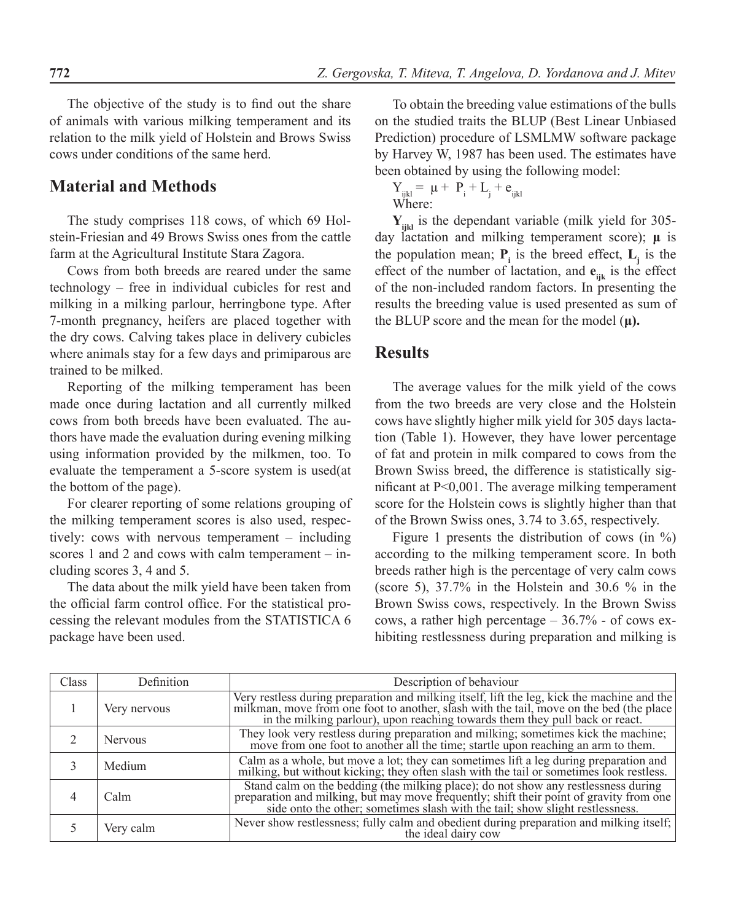The objective of the study is to find out the share of animals with various milking temperament and its relation to the milk yield of Holstein and Brows Swiss cows under conditions of the same herd.

## **Material and Methods**

The study comprises 118 cows, of which 69 Holstein-Friesian and 49 Brows Swiss ones from the cattle farm at the Agricultural Institute Stara Zagora.

Cows from both breeds are reared under the same technology – free in individual cubicles for rest and milking in a milking parlour, herringbone type. After 7-month pregnancy, heifers are placed together with the dry cows. Calving takes place in delivery cubicles where animals stay for a few days and primiparous are trained to be milked.

Reporting of the milking temperament has been made once during lactation and all currently milked cows from both breeds have been evaluated. The authors have made the evaluation during evening milking using information provided by the milkmen, too. To evaluate the temperament a 5-score system is used(at the bottom of the page).

For clearer reporting of some relations grouping of the milking temperament scores is also used, respectively: cows with nervous temperament – including scores 1 and 2 and cows with calm temperament – including scores 3, 4 and 5.

The data about the milk yield have been taken from the official farm control office. For the statistical processing the relevant modules from the STATISTICA 6 package have been used.

To obtain the breeding value estimations of the bulls on the studied traits the BLUP (Best Linear Unbiased Prediction) procedure of LSMLMW software package by Harvey W, 1987 has been used. The estimates have been obtained by using the following model:

$$
\begin{array}{l} Y_{ijkl} = \ \mu + \ P_i + L_j + e_{ijkl} \\ \text{Where:} \end{array}
$$

**Yijkl** is the dependant variable (milk yield for 305 day lactation and milking temperament score); **μ** is the population mean;  $P_i$  is the breed effect,  $L_j$  is the effect of the number of lactation, and  $\mathbf{e}_{ijk}$  is the effect of the non-included random factors. In presenting the results the breeding value is used presented as sum of the BLUP score and the mean for the model (**μ).**

## **Results**

The average values for the milk yield of the cows from the two breeds are very close and the Holstein cows have slightly higher milk yield for 305 days lactation (Table 1). However, they have lower percentage of fat and protein in milk compared to cows from the Brown Swiss breed, the difference is statistically significant at P<0,001. The average milking temperament score for the Holstein cows is slightly higher than that of the Brown Swiss ones, 3.74 to 3.65, respectively.

Figure 1 presents the distribution of cows (in  $\%$ ) according to the milking temperament score. In both breeds rather high is the percentage of very calm cows (score 5), 37.7% in the Holstein and 30.6 % in the Brown Swiss cows, respectively. In the Brown Swiss cows, a rather high percentage – 36.7% - of cows exhibiting restlessness during preparation and milking is

| Class | Definition     | Description of behaviour                                                                                                                                                                                                             |
|-------|----------------|--------------------------------------------------------------------------------------------------------------------------------------------------------------------------------------------------------------------------------------|
|       | Very nervous   | Very restless during preparation and milking itself, lift the leg, kick the machine and the milkman, move from one foot to another, slash with the tail, move on the bed (the place in the milking parlour), upon reaching tow       |
|       | <b>Nervous</b> | They look very restless during preparation and milking; sometimes kick the machine; move from one foot to another all the time; startle upon reaching an arm to them.                                                                |
|       | Medium         | Calm as a whole, but move a lot; they can sometimes lift a leg during preparation and milking, but without kicking; they often slash with the tail or sometimes look restless.                                                       |
|       | Calm           | Stand calm on the bedding (the milking place); do not show any restlessness during<br>preparation and milking, but may move frequently; shift their point of gravity from one<br>side onto the other; sometimes slash with the tail; |
|       | Very calm      | Never show restlessness; fully calm and obedient during preparation and milking itself;<br>the ideal dairy cow                                                                                                                       |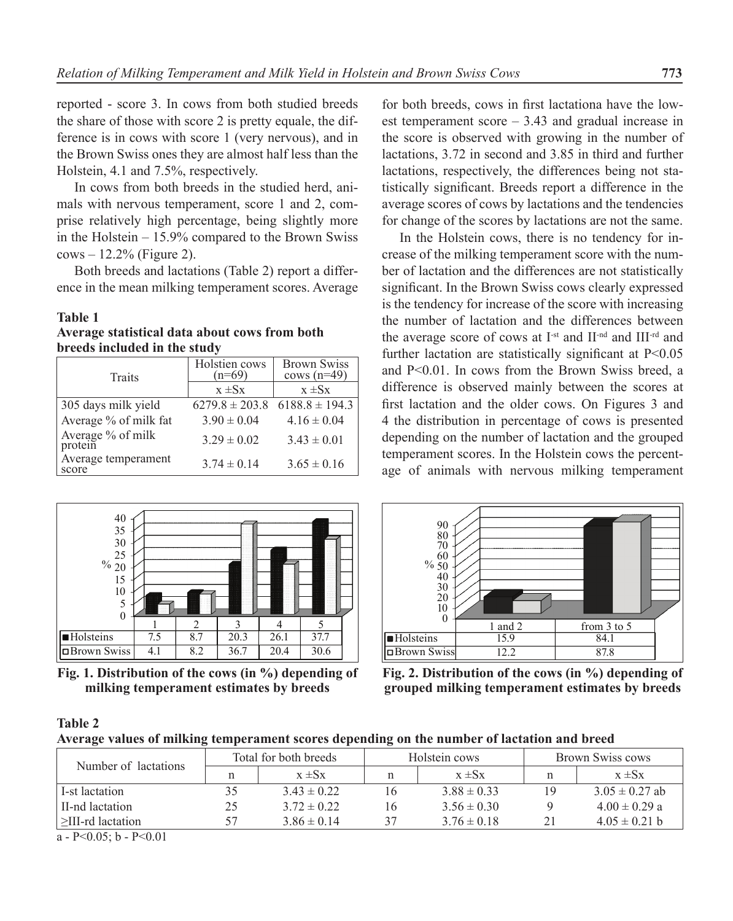reported - score 3. In cows from both studied breeds the share of those with score 2 is pretty equalе, the difference is in cows with score 1 (very nervous), and in the Brown Swiss ones they are almost half less than the Holstein, 4.1 and 7.5%, respectively.

In cows from both breeds in the studied herd, animals with nervous temperament, score 1 and 2, comprise relatively high percentage, being slightly more in the Holstein – 15.9% compared to the Brown Swiss  $cows - 12.2\%$  (Figure 2).

Both breeds and lactations (Table 2) report a difference in the mean milking temperament scores. Average

#### **Table 1**

**Average statistical data about cows from both breeds included in the study**

| <b>Traits</b>                | Holstien cows<br>$(n=69)$ | <b>Brown Swiss</b><br>cows $(n=49)$ |  |
|------------------------------|---------------------------|-------------------------------------|--|
|                              | $x \pm Sx$                | $x \pm Sx$                          |  |
| 305 days milk yield          | $6279.8 \pm 203.8$        | $6188.8 \pm 194.3$                  |  |
| Average % of milk fat        | $3.90 \pm 0.04$           | $4.16 \pm 0.04$                     |  |
| Average % of milk<br>protein | $3.29 \pm 0.02$           | $3.43 \pm 0.01$                     |  |
| Average temperament<br>score | $3.74 \pm 0.14$           | $3.65 \pm 0.16$                     |  |



**Fig. 1. Distribution of the cows (in %) depending of milking temperament estimates by breeds**

for both breeds, cows in first lactationа have the lowest temperament score – 3.43 and gradual increase in the score is observed with growing in the number of lactations, 3.72 in second and 3.85 in third and further lactations, respectively, the differences being not statistically significant. Breeds report a difference in the average scores of cows by lactations and the tendencies for change of the scores by lactations are not the same.

In the Holstein cows, there is no tendency for increase of the milking temperament score with the number of lactation and the differences are not statistically significant. In the Brown Swiss cows clearly expressed is the tendency for increase of the score with increasing the number of lactation and the differences between the average score of cows at I<sup>-st</sup> and II-nd and III-rd and further lactation are statistically significant at  $P<0.05$ and P<0.01. In cows from the Brown Swiss breed, a difference is observed mainly between the scores at first lactation and the older cows. On Figures 3 and 4 the distribution in percentage of cows is presented depending on the number of lactation and the grouped temperament scores. In the Holstein cows the percentage of animals with nervous milking temperament



**Fig. 2. Distribution of the cows (in %) depending of grouped milking temperament estimates by breeds**

#### **Table 2**

| Average values of milking temperament scores depending on the number of lactation and breed |  |
|---------------------------------------------------------------------------------------------|--|
|                                                                                             |  |

| Number of lactations                  | Total for both breeds |                 |    | Holstein cows   | Brown Swiss cows |                    |
|---------------------------------------|-----------------------|-----------------|----|-----------------|------------------|--------------------|
|                                       |                       | $x \pm Sx$      |    | $x \pm Sx$      |                  | $x \pm Sx$         |
| L-st lactation                        |                       | $3.43 \pm 0.22$ | 16 | $3.88 \pm 0.33$ | 19               | $3.05 \pm 0.27$ ab |
| II-nd lactation                       | 25                    | $3.72 \pm 0.22$ | 16 | $3.56 \pm 0.30$ |                  | $4.00 \pm 0.29$ a  |
| $\geq$ III-rd lactation               |                       | $3.86 \pm 0.14$ | 37 | $3.76 \pm 0.18$ |                  | $4.05 \pm 0.21$ b  |
| $P_1 \cap Q_2 = 1$ $P_2 \cap Q_3 = 1$ |                       |                 |    |                 |                  |                    |

a - P< $0.05$ ; b - P< $0.01$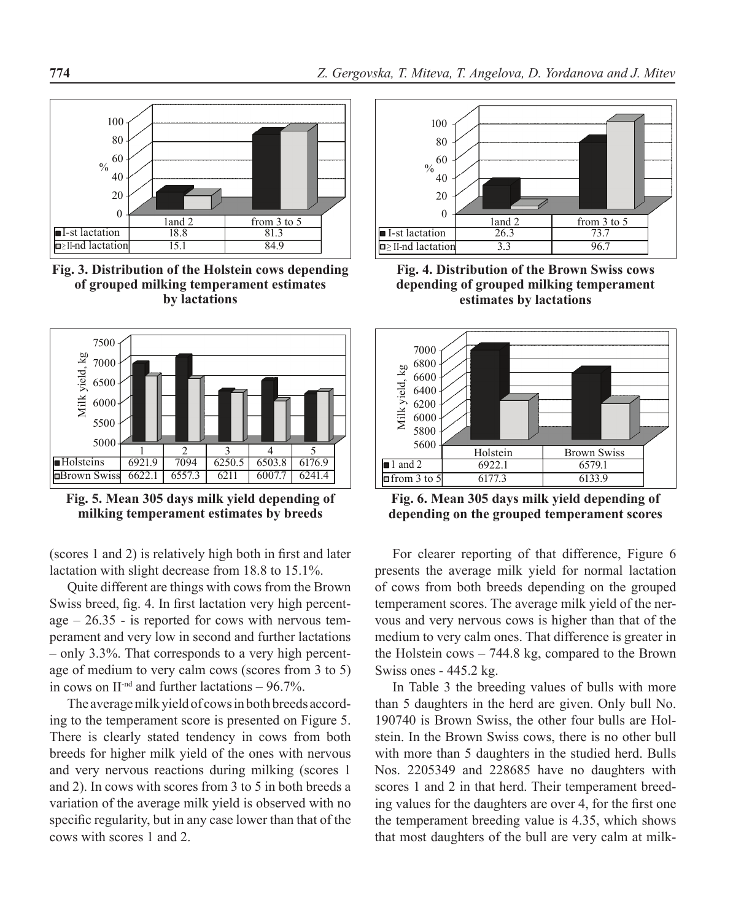

**Fig. 3. Distribution of the Holstein cows depending of grouped milking temperament estimates by lactations**



**Fig. 5. Mean 305 days milk yield depending of milking temperament estimates by breeds**

(scores 1 and 2) is relatively high both in first and later lactation with slight decrease from 18.8 to 15.1%.

Quite different are things with cows from the Brown Swiss breed, fig. 4. In first lactation very high percentage  $-26.35$  - is reported for cows with nervous temperament and very low in second and further lactations – only 3.3%. That corresponds to a very high percentage of medium to very calm cows (scores from 3 to 5) in cows on  $II^{\text{-nd}}$  and further lactations – 96.7%.

The average milk yield of cows in both breeds according to the temperament score is presented on Figure 5. There is clearly stated tendency in cows from both breeds for higher milk yield of the ones with nervous and very nervous reactions during milking (scores 1 and 2). In cows with scores from 3 to 5 in both breeds a variation of the average milk yield is observed with no specific regularity, but in any case lower than that of the cows with scores 1 and 2.



**Fig. 4. Distribution of the Brown Swiss cows depending of grouped milking temperament estimates by lactations**



**Fig. 6. Mean 305 days milk yield depending of depending on the grouped temperament scores**

For clearer reporting of that difference, Figure 6 presents the average milk yield for normal lactation of cows from both breeds depending on the grouped temperament scores. The average milk yield of the nervous and very nervous cows is higher than that of the medium to very calm ones. That difference is greater in the Holstein cows – 744.8 kg, compared to the Brown Swiss ones - 445.2 kg.

In Table 3 the breeding values of bulls with more than 5 daughters in the herd are given. Only bull No. 190740 is Brown Swiss, the other four bulls are Holstein. In the Brown Swiss cows, there is no other bull with more than 5 daughters in the studied herd. Bulls Nos. 2205349 and 228685 have no daughters with scores 1 and 2 in that herd. Their temperament breeding values for the daughters are over 4, for the first one the temperament breeding value is 4.35, which shows that most daughters of the bull are very calm at milk-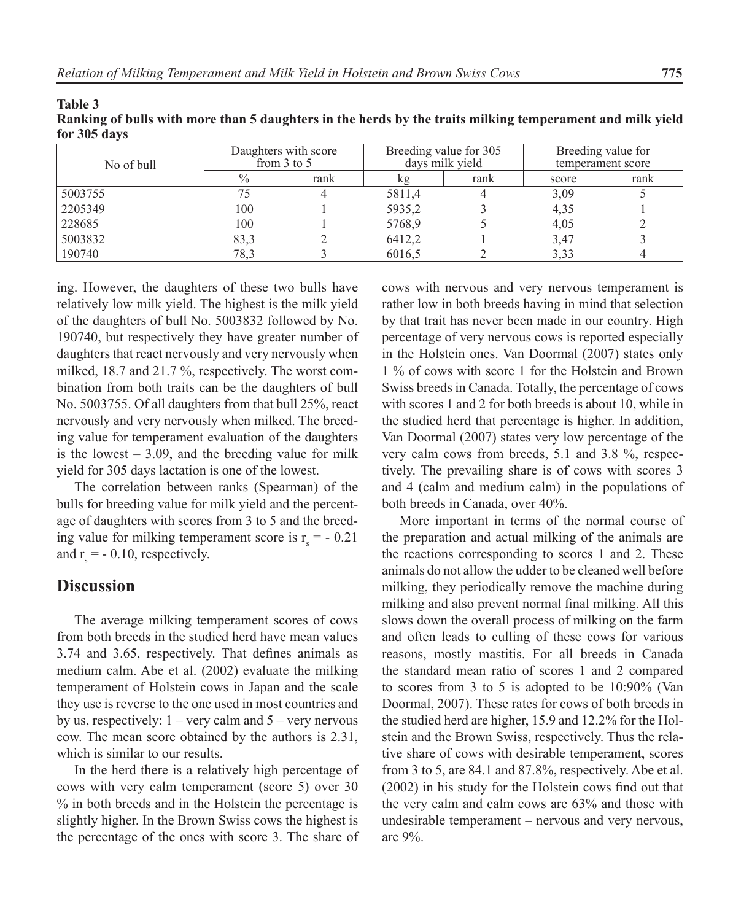| IVI JUJ UAVS |                                         |      |                                           |      |                                         |      |
|--------------|-----------------------------------------|------|-------------------------------------------|------|-----------------------------------------|------|
| No of bull   | Daughters with score<br>from $3$ to $5$ |      | Breeding value for 305<br>days milk yield |      | Breeding value for<br>temperament score |      |
|              | $\%$                                    | rank | kg                                        | rank | score                                   | rank |
| 5003755      | 75                                      |      | 5811,4                                    |      | 3.09                                    |      |
| 2205349      | 100                                     |      | 5935,2                                    |      | 4,35                                    |      |
| 228685       | 100                                     |      | 5768,9                                    |      | 4,05                                    |      |
| 5003832      | 83,3                                    |      | 6412,2                                    |      | 3,47                                    |      |
| 190740       | 78,3                                    |      | 6016.5                                    |      | 3.33                                    |      |

**Ranking of bulls with more than 5 daughters in the herds by the traits milking temperament and milk yield for 305 days**

ing. However, the daughters of these two bulls have relatively low milk yield. The highest is the milk yield of the daughters of bull No. 5003832 followed by No. 190740, but respectively they have greater number of daughters that react nervously and very nervously when milked, 18.7 and 21.7 %, respectively. The worst combination from both traits can be the daughters of bull No. 5003755. Of all daughters from that bull 25%, react nervously and very nervously when milked. The breeding value for temperament evaluation of the daughters is the lowest  $-3.09$ , and the breeding value for milk yield for 305 days lactation is one of the lowest.

The correlation between ranks (Spearman) of the bulls for breeding value for milk yield and the percentage of daughters with scores from 3 to 5 and the breeding value for milking temperament score is  $r_s = -0.21$ and  $r_s = -0.10$ , respectively.

## **Discussion**

**Table 3**

The average milking temperament scores of cows from both breeds in the studied herd have mean values 3.74 and 3.65, respectively. That defines animals as medium calm. Abe et al. (2002) evaluate the milking temperament of Holstein cows in Japan and the scale they use is reverse to the one used in most countries and by us, respectively:  $1 - \text{very calm and } 5 - \text{very nervous}$ cow. The mean score obtained by the authors is 2.31, which is similar to our results.

In the herd there is a relatively high percentage of cows with very calm temperament (score 5) over 30 % in both breeds and in the Holstein the percentage is slightly higher. In the Brown Swiss cows the highest is the percentage of the ones with score 3. The share of

cows with nervous and very nervous temperament is rather low in both breeds having in mind that selection by that trait has never been made in our country. High percentage of very nervous cows is reported especially in the Holstein ones. Van Doormal (2007) states only 1 % of cows with score 1 for the Holstein and Brown Swiss breeds in Canada. Totally, the percentage of cows with scores 1 and 2 for both breeds is about 10, while in the studied herd that percentage is higher. In addition, Van Doormal (2007) states very low percentage of the very calm cows from breeds, 5.1 and 3.8 %, respectively. The prevailing share is of cows with scores 3 and 4 (calm and medium calm) in the populations of both breeds in Canada, over 40%.

More important in terms of the normal course of the preparation and actual milking of the animals are the reactions corresponding to scores 1 and 2. These animals do not allow the udder to be cleaned well before milking, they periodically remove the machine during milking and also prevent normal final milking. All this slows down the overall process of milking on the farm and often leads to culling of these cows for various reasons, mostly mastitis. For all breeds in Canada the standard mean ratio of scores 1 and 2 compared to scores from 3 to 5 is adopted to be 10:90% (Van Doormal, 2007). These rates for cows of both breeds in the studied herd are higher, 15.9 and 12.2% for the Holstein and the Brown Swiss, respectively. Thus the relative share of cows with desirable temperament, scores from 3 to 5, are 84.1 and 87.8%, respectively. Abe et al. (2002) in his study for the Holstein cows find out that the very calm and calm cows are 63% and those with undesirable temperament – nervous and very nervous, are 9%.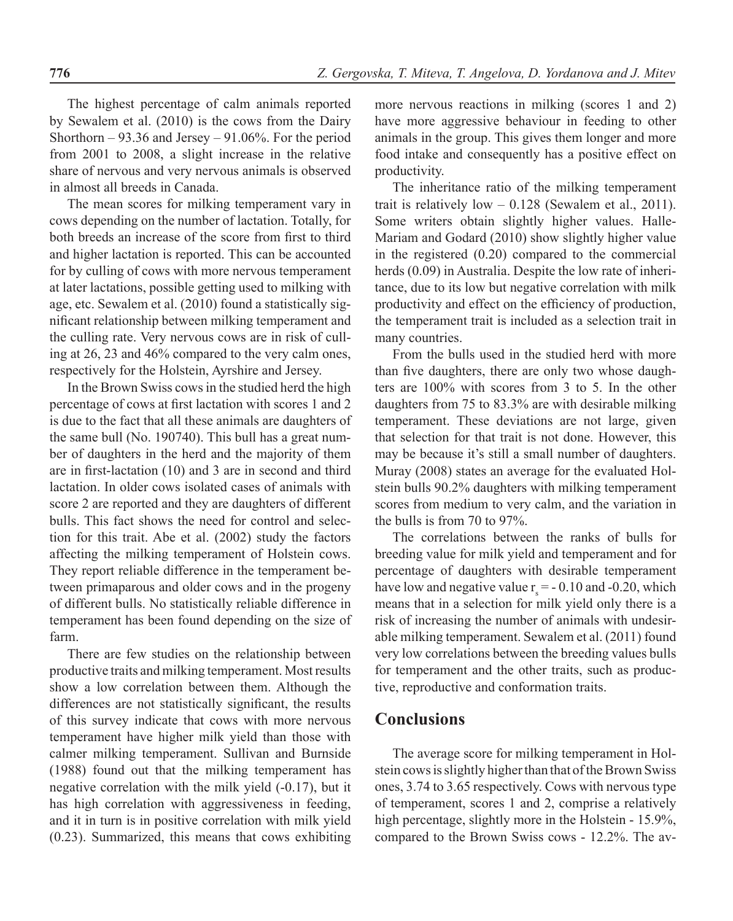The highest percentage of calm animals reported by Sewalem et al. (2010) is the cows from the Dairy Shorthorn – 93.36 and Jersey – 91.06%. For the period from 2001 to 2008, a slight increase in the relative share of nervous and very nervous animals is observed in almost all breeds in Canada.

The mean scores for milking temperament vary in cows depending on the number of lactation. Totally, for both breeds an increase of the score from first to third and higher lactation is reported. This can be accounted for by culling of cows with more nervous temperament at later lactations, possible getting used to milking with age, etc. Sewalem et al. (2010) found a statistically significant relationship between milking temperament and the culling rate. Very nervous cows are in risk of culling at 26, 23 and 46% compared to the very calm ones, respectively for the Holstein, Ayrshire and Jersey.

In the Brown Swiss cows in the studied herd the high percentage of cows at first lactation with scores 1 and 2 is due to the fact that all these animals are daughters of the same bull (No. 190740). This bull has a great number of daughters in the herd and the majority of them are in first-lactation (10) and 3 are in second and third lactation. In older cows isolated cases of animals with score 2 are reported and they are daughters of different bulls. This fact shows the need for control and selection for this trait. Abe et al. (2002) study the factors affecting the milking temperament of Holstein cows. They report reliable difference in the temperament between primaparous and older cows and in the progeny of different bulls. No statistically reliable difference in temperament has been found depending on the size of farm.

There are few studies on the relationship between productive traits and milking temperament. Most results show a low correlation between them. Although the differences are not statistically significant, the results of this survey indicate that cows with more nervous temperament have higher milk yield than those with calmer milking temperament. Sullivan and Burnside (1988) found out that the milking temperament has negative correlation with the milk yield (-0.17), but it has high correlation with aggressiveness in feeding, and it in turn is in positive correlation with milk yield (0.23). Summarized, this means that cows exhibiting

more nervous reactions in milking (scores 1 and 2) have more aggressive behaviour in feeding to other animals in the group. This gives them longer and more food intake and consequently has a positive effect on productivity.

The inheritance ratio of the milking temperament trait is relatively low  $-0.128$  (Sewalem et al., 2011). Some writers obtain slightly higher values. Halle-Mariam and Godard (2010) show slightly higher value in the registered (0.20) compared to the commercial herds (0.09) in Australia. Despite the low rate of inheritance, due to its low but negative correlation with milk productivity and effect on the efficiency of production, the temperament trait is included as a selection trait in many countries.

From the bulls used in the studied herd with more than five daughters, there are only two whose daughters are 100% with scores from 3 to 5. In the other daughters from 75 to 83.3% are with desirable milking temperament. These deviations are not large, given that selection for that trait is not done. However, this may be because it's still a small number of daughters. Muray (2008) states an average for the evaluated Holstein bulls 90.2% daughters with milking temperament scores from medium to very calm, and the variation in the bulls is from 70 to 97%.

The correlations between the ranks of bulls for breeding value for milk yield and temperament and for percentage of daughters with desirable temperament have low and negative value  $r_s = -0.10$  and -0.20, which means that in a selection for milk yield only there is a risk of increasing the number of animals with undesirable milking temperament. Sewalem et al. (2011) found very low correlations between the breeding values bulls for temperament and the other traits, such as productive, reproductive and conformation traits.

## **Conclusions**

The average score for milking temperament in Holstein cows is slightly higher than that of the Brown Swiss ones, 3.74 to 3.65 respectively. Cows with nervous type of temperament, scores 1 and 2, comprise a relatively high percentage, slightly more in the Holstein - 15.9%, compared to the Brown Swiss cows - 12.2%. The av